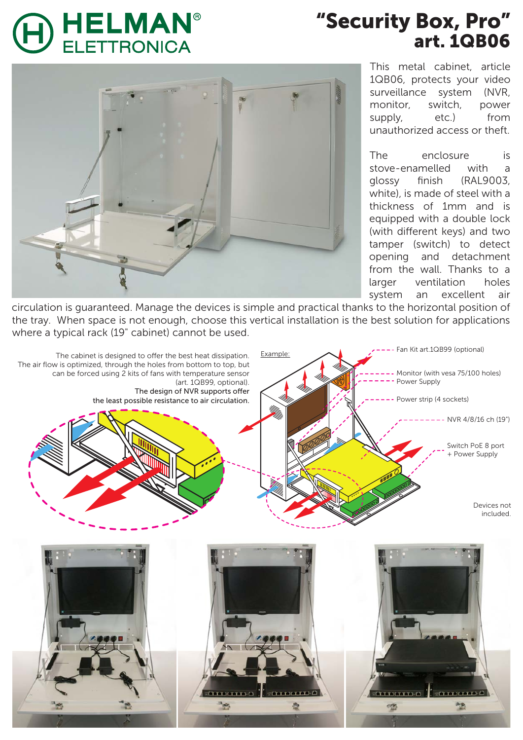## **HELMAN<sup>®</sup> ELETTRONICA**

## "Security Box, Pro" art. 1QB06



This metal cabinet, article 1QB06, protects your video surveillance system (NVR, monitor, switch, power supply, etc.) from unauthorized access or theft.

The enclosure is stove-enamelled with a glossy finish (RAL9003, white), is made of steel with a thickness of 1mm and is equipped with a double lock (with different keys) and two tamper (switch) to detect opening and detachment from the wall. Thanks to a larger ventilation holes system an excellent air

circulation is guaranteed. Manage the devices is simple and practical thanks to the horizontal position of the tray. When space is not enough, choose this vertical installation is the best solution for applications where a typical rack (19" cabinet) cannot be used.

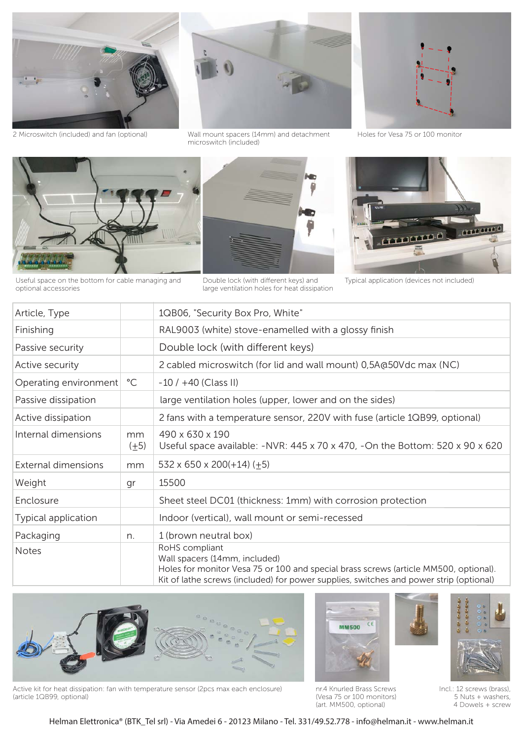

2 Microswitch (included) and fan (optional)



Wall mount spacers (14mm) and detachment Holes for Vesa 75 or 100 monitor microswitch (included)





Useful space on the bottom for cable managing and

optional accessories



Double lock (with different keys) and large ventilation holes for heat dissipation



Typical application (devices not included)

| Article, Type         |                 | 1QB06, "Security Box Pro, White"                                                                                                                                                                                                  |
|-----------------------|-----------------|-----------------------------------------------------------------------------------------------------------------------------------------------------------------------------------------------------------------------------------|
| Finishing             |                 | RAL9003 (white) stove-enamelled with a glossy finish                                                                                                                                                                              |
| Passive security      |                 | Double lock (with different keys)                                                                                                                                                                                                 |
| Active security       |                 | 2 cabled microswitch (for lid and wall mount) 0,5A@50Vdc max (NC)                                                                                                                                                                 |
| Operating environment | $^{\circ}$ C    | $-10/ +40$ (Class II)                                                                                                                                                                                                             |
| Passive dissipation   |                 | large ventilation holes (upper, lower and on the sides)                                                                                                                                                                           |
| Active dissipation    |                 | 2 fans with a temperature sensor, 220V with fuse (article 1QB99, optional)                                                                                                                                                        |
| Internal dimensions   | mm<br>$(\pm 5)$ | 490 x 630 x 190<br>Useful space available: $-NVR$ : 445 x 70 x 470, -On the Bottom: 520 x 90 x 620                                                                                                                                |
| External dimensions   | mm              | $532 \times 650 \times 200 (+14) (+5)$                                                                                                                                                                                            |
| Weight                | gr              | 15500                                                                                                                                                                                                                             |
| Enclosure             |                 | Sheet steel DC01 (thickness: 1mm) with corrosion protection                                                                                                                                                                       |
| Typical application   |                 | Indoor (vertical), wall mount or semi-recessed                                                                                                                                                                                    |
| Packaging             | n.              | 1 (brown neutral box)                                                                                                                                                                                                             |
| <b>Notes</b>          |                 | RoHS compliant<br>Wall spacers (14mm, included)<br>Holes for monitor Vesa 75 or 100 and special brass screws (article MM500, optional).<br>Kit of lathe screws (included) for power supplies, switches and power strip (optional) |



Active kit for heat dissipation: fan with temperature sensor (2pcs max each enclosure) (article 1QB99, optional)

nr.4 Knurled Brass Screws (Vesa 75 or 100 monitors) (art. MM500, optional)

 $C6$ 

**MM500** 



Incl.: 12 screws (brass), 5 Nuts + washers, 4 Dowels + screw

Helman Elettronica® (BTK\_Tel srl) - Via Amedei 6 - 20123 Milano - Tel. 331/49.52.778 - info@helman.it - www.helman.it